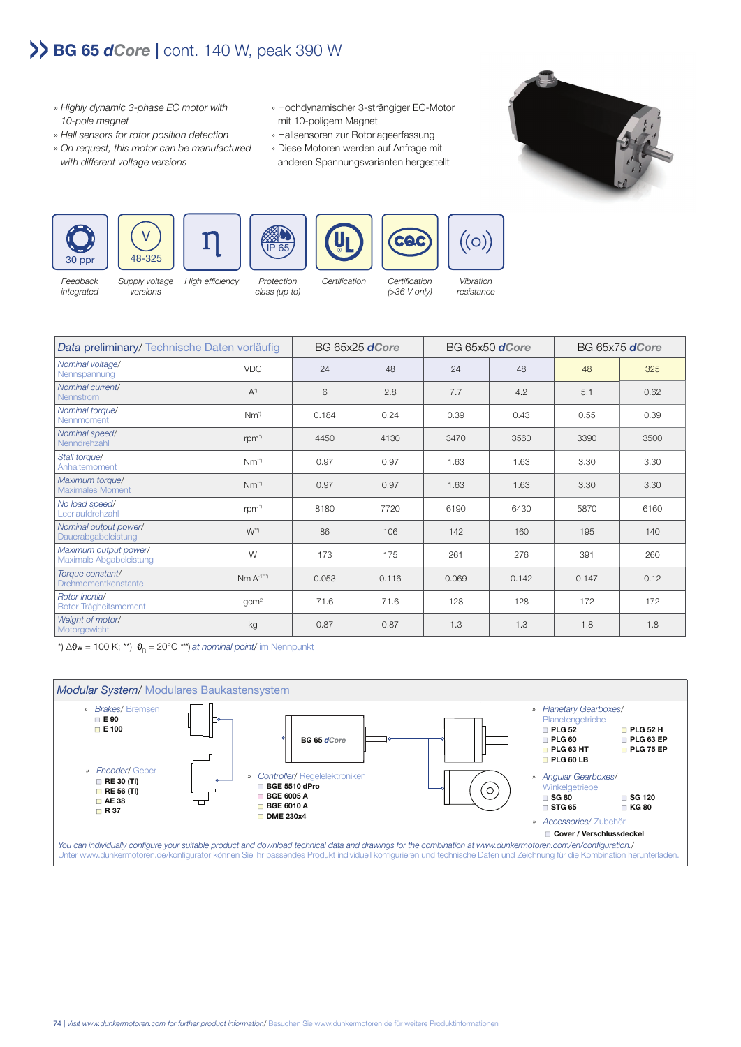## **BG 65** *dCore* **|** cont. 140 W, peak 390 W

- » Highly dynamic 3-phase EC motor with 10-pole magnet
- » Hall sensors for rotor position detection
- » On request, this motor can be manufactured with different voltage versions

versions

- » Hochdynamischer 3-strängiger EC-Motor mit 10-poligem Magnet
- » Hallsensoren zur Rotorlageerfassung
- » Diese Motoren werden auf Anfrage mit anderen Spannungsvarianten hergestellt





Feedback integrated





High efficiency Protection class (up to)

Certification Certification (>36 V only)

CAC

Vibration resistance

 $\dot{}(\circ)$ 

| Data preliminary/Technische Daten vorläufig      |                     | BG 65x25 <b>dCore</b> |       | BG 65x50 <b>dCore</b> |       | BG 65x75 <b>dCore</b> |      |
|--------------------------------------------------|---------------------|-----------------------|-------|-----------------------|-------|-----------------------|------|
| Nominal voltage/<br>Nennspannung                 | <b>VDC</b>          | 24                    | 48    | 24                    | 48    | 48                    | 325  |
| Nominal current/<br><b>Nennstrom</b>             | $A^{\prime}$        | 6                     | 2.8   | 7.7                   | 4.2   | 5.1                   | 0.62 |
| Nominal torque/<br>Nennmoment                    | $Nm^{\prime}$       | 0.184                 | 0.24  | 0.39                  | 0.43  | 0.55                  | 0.39 |
| Nominal speed/<br>Nenndrehzahl                   | rpm <sup>1</sup>    | 4450                  | 4130  | 3470                  | 3560  | 3390                  | 3500 |
| Stall torque/<br>Anhaltemoment                   | $Nm^{\gamma}$       | 0.97                  | 0.97  | 1.63                  | 1.63  | 3.30                  | 3.30 |
| Maximum torque/<br><b>Maximales Moment</b>       | $Nm^{\prime\prime}$ | 0.97                  | 0.97  | 1.63                  | 1.63  | 3.30                  | 3.30 |
| No load speed/<br>eerlaufdrehzahl                | rpm <sup>1</sup>    | 8180                  | 7720  | 6190                  | 6430  | 5870                  | 6160 |
| Nominal output power/<br>Dauerabgabeleistung     | $W^{\prime\prime}$  | 86                    | 106   | 142                   | 160   | 195                   | 140  |
| Maximum output power/<br>Maximale Abgabeleistung | W                   | 173                   | 175   | 261                   | 276   | 391                   | 260  |
| Torque constant/<br>Drehmomentkonstante          | $Nm A-1**$          | 0.053                 | 0.116 | 0.069                 | 0.142 | 0.147                 | 0.12 |
| Rotor inertia/<br>Rotor Trägheitsmoment          | gcm <sup>2</sup>    | 71.6                  | 71.6  | 128                   | 128   | 172                   | 172  |
| Weight of motor/<br>Motorgewicht                 | kg                  | 0.87                  | 0.87  | 1.3                   | 1.3   | 1.8                   | 1.8  |

\*)  $\Delta\vartheta_{\rm w}$  = 100 K; \*\*)  $\vartheta_{\rm R}$  = 20°C \*\*\*) at nominal point/ im Nennpunkt